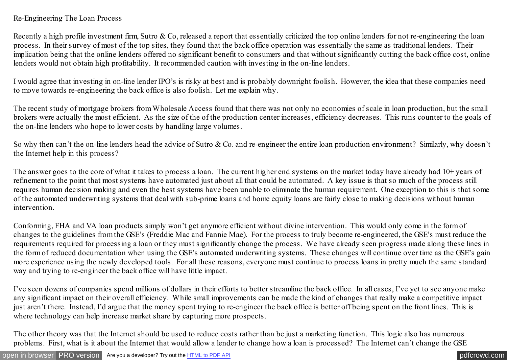## Re-Engineering The Loan Process

Recently a high profile investment firm, Sutro & Co, released a report that essentially criticized the top online lenders for not re-engineering the loan process. In their survey of most of the top sites, they found that the back office operation was essentially the same as traditional lenders. Their implication being that the online lenders offered no significant benefit to consumers and that without significantly cutting the back office cost, online lenders would not obtain high profitability. It recommended caution with investing in the on-line lenders.

I would agree that investing in on-line lender IPO's is risky at best and is probably downright foolish. However, the idea that these companies need to move towards re-engineering the back office is also foolish. Let me explain why.

The recent study of mortgage brokers from Wholesale Access found that there was not only no economies of scale in loan production, but the small brokers were actually the most efficient. As the size of the of the production center increases, efficiency decreases. This runs counter to the goals of the on-line lenders who hope to lower costs by handling large volumes.

So why then can't the on-line lenders head the advice of Sutro & Co. and re-engineer the entire loan production environment? Similarly, why doesn't the Internet help in this process?

The answer goes to the core of what it takes to process a loan. The current higher end systems on the market today have already had 10+ years of refinement to the point that most systems have automated just about all that could be automated. A key issue is that so much of the process still requires human decision making and even the best systems have been unable to eliminate the human requirement. One exception to this is that some of the automated underwriting systems that deal with sub-prime loans and home equity loans are fairly close to making decisions without human intervention.

Conforming, FHA and VA loan products simply won't get anymore efficient without divine intervention. This would only come in the form of changes to the guidelines from the GSE's (Freddie Mac and Fannie Mae). For the process to truly become re-engineered, the GSE's must reduce the requirements required for processing a loan or they must significantly change the process. We have already seen progress made along these lines in the form of reduced documentation when using the GSE's automated underwriting systems. These changes will continue over time as the GSE's gain more experience using the newly developed tools. For all these reasons, everyone must continue to process loans in pretty much the same standard way and trying to re-engineer the back office will have little impact.

I've seen dozens of companies spend millions of dollars in their efforts to better streamline the back office. In all cases, I've yet to see anyone make any significant impact on their overall efficiency. While small improvements can be made the kind of changes that really make a competitive impact just aren't there. Instead, I'd argue that the money spent trying to re-engineer the back office is better off being spent on the front lines. This is where technology can help increase market share by capturing more prospects.

The other theory was that the Internet should be used to reduce costs rather than be just a marketing function. This logic also has numerous problems. First, what is it about the Internet that would allow a lender to change how a loan is processed? The Internet can't change the GSE